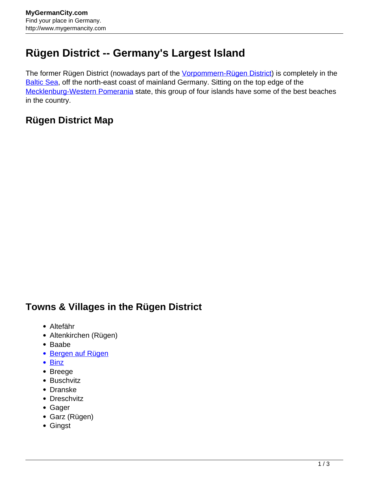## **Rügen District -- Germany's Largest Island**

The former Rügen District (nowadays part of the *Vorpommern-Rügen District*) is completely in the [Baltic Sea,](http://www.mygermancity.com/baltic-sea) off the north-east coast of mainland Germany. Sitting on the top edge of the [Mecklenburg-Western Pomerania](http://www.mygermancity.com/mecklenburg-western-pomerania) state, this group of four islands have some of the best beaches in the country.

## **Rügen District Map**

## **Towns & Villages in the Rügen District**

- Altefähr
- Altenkirchen (Rügen)
- Baabe
- **[Bergen auf Rügen](http://www.mygermancity.com/bergen-auf-ruegen)**
- [Binz](http://www.mygermancity.com/binz)
- Breege
- Buschvitz
- Dranske
- Dreschvitz
- Gager
- Garz (Rügen)
- Gingst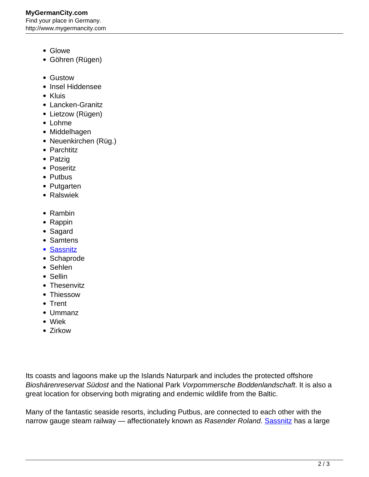## **MyGermanCity.com** Find your place in Germany. http://www.mygermancity.com

- Glowe
- Göhren (Rügen)
- Gustow
- Insel Hiddensee
- Kluis
- Lancken-Granitz
- Lietzow (Rügen)
- Lohme
- Middelhagen
- Neuenkirchen (Rüg.)
- Parchtitz
- Patzig
- Poseritz
- Putbus
- Putgarten
- Ralswiek
- Rambin
- Rappin
- Sagard
- Samtens
- [Sassnitz](http://www.mygermancity.com/sassnitz)
- Schaprode
- Sehlen
- Sellin
- Thesenvitz
- Thiessow
- Trent
- Ummanz
- Wiek
- Zirkow

Its coasts and lagoons make up the Islands Naturpark and includes the protected offshore Bioshärenreservat Südost and the National Park Vorpommersche Boddenlandschaft. It is also a great location for observing both migrating and endemic wildlife from the Baltic.

Many of the fantastic seaside resorts, including Putbus, are connected to each other with the narrow gauge steam railway — affectionately known as Rasender Roland. [Sassnitz](http://www.mygermancity.com/sassnitz) has a large